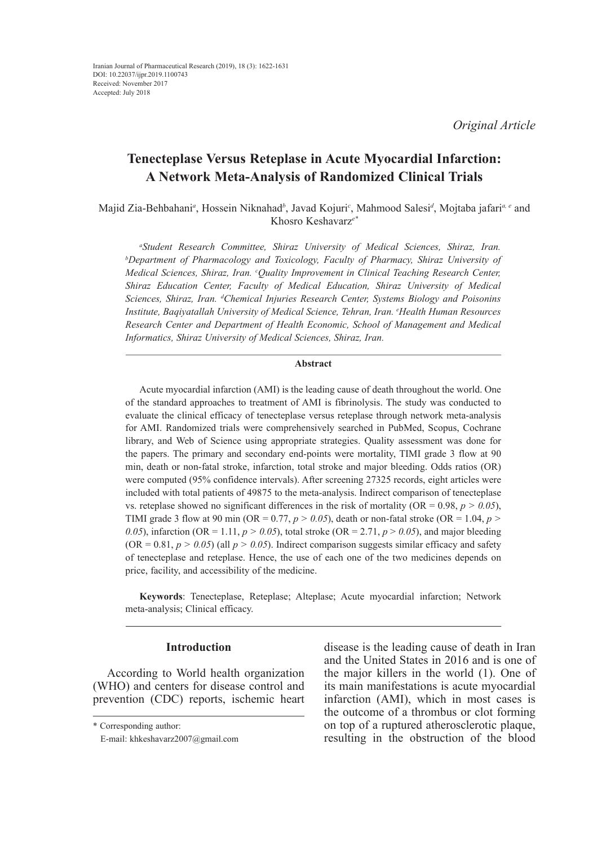*Original Article*

# **Tenecteplase Versus Reteplase in Acute Myocardial Infarction: A Network Meta-Analysis of Randomized Clinical Trials**

Majid Zia-Behbahani*<sup>a</sup>* , Hossein Niknahad*<sup>b</sup>* , Javad Kojuri*<sup>c</sup>* , Mahmood Salesi*<sup>d</sup>* , Mojtaba jafari*a, e* and Khosro Keshavarz*e\**

*a Student Research Committee, Shiraz University of Medical Sciences, Shiraz, Iran. b Department of Pharmacology and Toxicology, Faculty of Pharmacy, Shiraz University of Medical Sciences, Shiraz, Iran. c Quality Improvement in Clinical Teaching Research Center, Shiraz Education Center, Faculty of Medical Education, Shiraz University of Medical Sciences, Shiraz, Iran. d Chemical Injuries Research Center, Systems Biology and Poisonins Institute, Baqiyatallah University of Medical Science, Tehran, Iran. e Health Human Resources Research Center and Department of Health Economic, School of Management and Medical Informatics, Shiraz University of Medical Sciences, Shiraz, Iran.*

### **Abstract**

Acute myocardial infarction (AMI) is the leading cause of death throughout the world. One of the standard approaches to treatment of AMI is fibrinolysis. The study was conducted to evaluate the clinical efficacy of tenecteplase versus reteplase through network meta-analysis for AMI. Randomized trials were comprehensively searched in PubMed, Scopus, Cochrane library, and Web of Science using appropriate strategies. Quality assessment was done for the papers. The primary and secondary end-points were mortality, TIMI grade 3 flow at 90 min, death or non-fatal stroke, infarction, total stroke and major bleeding. Odds ratios (OR) were computed (95% confidence intervals). After screening 27325 records, eight articles were included with total patients of 49875 to the meta-analysis. Indirect comparison of tenecteplase vs. reteplase showed no significant differences in the risk of mortality (OR =  $0.98$ ,  $p > 0.05$ ), TIMI grade 3 flow at 90 min (OR =  $0.77$ ,  $p > 0.05$ ), death or non-fatal stroke (OR = 1.04,  $p >$ 0.05), infarction (OR = 1.11,  $p > 0.05$ ), total stroke (OR = 2.71,  $p > 0.05$ ), and major bleeding  $(OR = 0.81, p > 0.05)$  (all  $p > 0.05$ ). Indirect comparison suggests similar efficacy and safety of tenecteplase and reteplase. Hence, the use of each one of the two medicines depends on price, facility, and accessibility of the medicine.

**Keywords**: Tenecteplase, Reteplase; Alteplase; Acute myocardial infarction; Network meta-analysis; Clinical efficacy.

# **Introduction**

According to World health organization (WHO) and centers for disease control and prevention (CDC) reports, ischemic heart

disease is the leading cause of death in Iran and the United States in 2016 and is one of the major killers in the world (1). One of its main manifestations is acute myocardial infarction (AMI), which in most cases is the outcome of a thrombus or clot forming on top of a ruptured atherosclerotic plaque, resulting in the obstruction of the blood

<sup>\*</sup> Corresponding author:

E-mail: khkeshavarz2007@gmail.com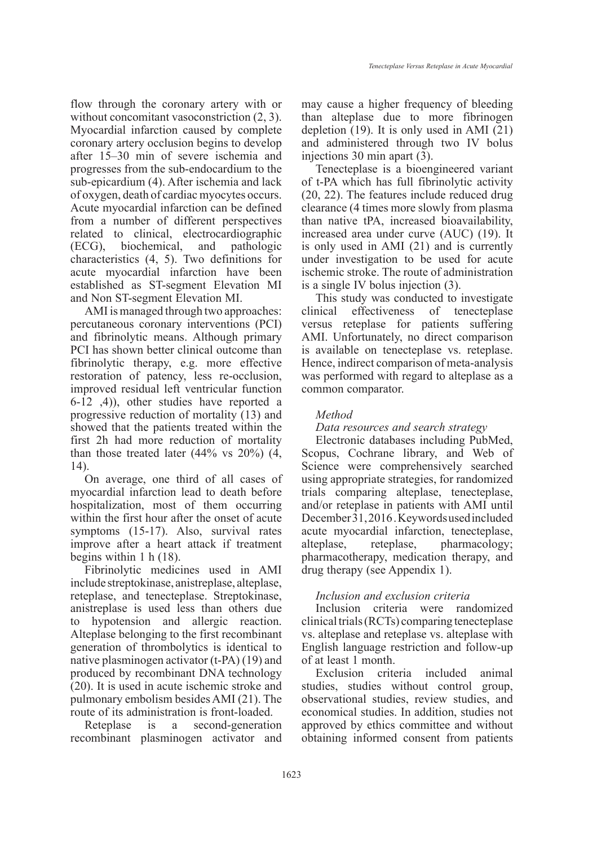flow through the coronary artery with or without concomitant vasoconstriction  $(2, 3)$ . Myocardial infarction caused by complete coronary artery occlusion begins to develop after 15–30 min of severe ischemia and progresses from the sub-endocardium to the sub-epicardium (4). After ischemia and lack of oxygen, death of cardiac myocytes occurs. Acute myocardial infarction can be defined from a number of different perspectives related to clinical, electrocardiographic (ECG), biochemical, and pathologic characteristics (4, 5). Two definitions for acute myocardial infarction have been established as ST-segment Elevation MI and Non ST-segment Elevation MI.

AMI is managed through two approaches: percutaneous coronary interventions (PCI) and fibrinolytic means. Although primary PCI has shown better clinical outcome than fibrinolytic therapy, e.g. more effective restoration of patency, less re-occlusion, improved residual left ventricular function  $(6-12, 4)$ , other studies have reported a progressive reduction of mortality (13) and showed that the patients treated within the first 2h had more reduction of mortality than those treated later  $(44\% \text{ vs } 20\%)$   $(4,$ 14).

On average, one third of all cases of myocardial infarction lead to death before hospitalization, most of them occurring within the first hour after the onset of acute symptoms (15-17). Also, survival rates improve after a heart attack if treatment begins within 1 h (18).

Fibrinolytic medicines used in AMI include streptokinase, anistreplase, alteplase, reteplase, and tenecteplase. Streptokinase, anistreplase is used less than others due to hypotension and allergic reaction. Alteplase belonging to the first recombinant generation of thrombolytics is identical to native plasminogen activator (t-PA) (19) and produced by recombinant DNA technology (20). It is used in acute ischemic stroke and pulmonary embolism besides AMI (21). The route of its administration is front-loaded.

Reteplase is a second-generation recombinant plasminogen activator and may cause a higher frequency of bleeding than alteplase due to more fibrinogen depletion (19). It is only used in AMI (21) and administered through two IV bolus injections 30 min apart (3).

Tenecteplase is a bioengineered variant of t-PA which has full fibrinolytic activity (20, 22). The features include reduced drug clearance (4 times more slowly from plasma than native tPA, increased bioavailability, increased area under curve (AUC) (19). It is only used in AMI (21) and is currently under investigation to be used for acute ischemic stroke. The route of administration is a single IV bolus injection (3).

This study was conducted to investigate clinical effectiveness of tenecteplase versus reteplase for patients suffering AMI. Unfortunately, no direct comparison is available on tenecteplase vs. reteplase. Hence, indirect comparison of meta-analysis was performed with regard to alteplase as a common comparator.

# *Method*

*Data resources and search strategy*

Electronic databases including PubMed, Scopus, Cochrane library, and Web of Science were comprehensively searched using appropriate strategies, for randomized trials comparing alteplase, tenecteplase, and/or reteplase in patients with AMI until December 31, 2016 . Keywords used included acute myocardial infarction, tenecteplase, alteplase, reteplase, pharmacology; pharmacotherapy, medication therapy, and drug therapy (see Appendix 1).

# *Inclusion and exclusion criteria*

Inclusion criteria were randomized clinical trials (RCTs) comparing tenecteplase vs. alteplase and reteplase vs. alteplase with English language restriction and follow-up of at least 1 month.

Exclusion criteria included animal studies, studies without control group, observational studies, review studies, and economical studies. In addition, studies not approved by ethics committee and without obtaining informed consent from patients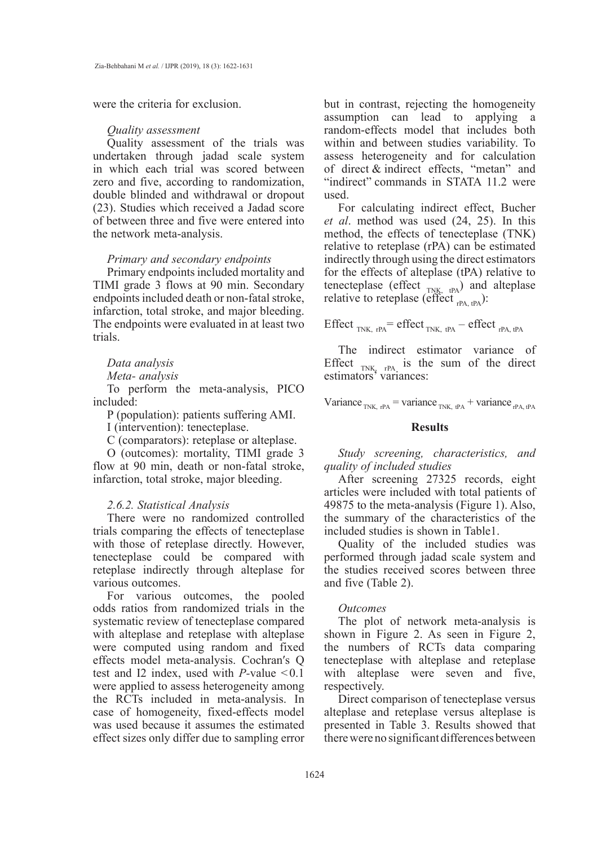were the criteria for exclusion.

#### *Quality assessment*

Quality assessment of the trials was undertaken through jadad scale system in which each trial was scored between zero and five, according to randomization, double blinded and withdrawal or dropout (23). Studies which received a Jadad score of between three and five were entered into the network meta-analysis.

# *Primary and secondary endpoints*

Primary endpoints included mortality and TIMI grade 3 flows at 90 min. Secondary endpoints included death or non-fatal stroke, infarction, total stroke, and major bleeding. The endpoints were evaluated in at least two trials.

### *Data analysis*

## *Meta- analysis*

To perform the meta-analysis, PICO included:

P (population): patients suffering AMI.

I (intervention): tenecteplase.

C (comparators): reteplase or alteplase.

O (outcomes): mortality, TIMI grade 3 flow at 90 min, death or non-fatal stroke, infarction, total stroke, major bleeding.

### *2.6.2. Statistical Analysis*

There were no randomized controlled trials comparing the effects of tenecteplase with those of reteplase directly. However, tenecteplase could be compared with reteplase indirectly through alteplase for various outcomes.

For various outcomes, the pooled odds ratios from randomized trials in the systematic review of tenecteplase compared with alteplase and reteplase with alteplase were computed using random and fixed effects model meta-analysis. Cochran′s Q test and I2 index, used with *P-*value < 0.1 were applied to assess heterogeneity among the RCTs included in meta-analysis. In case of homogeneity, fixed-effects model was used because it assumes the estimated effect sizes only differ due to sampling error

but in contrast, rejecting the homogeneity assumption can lead to applying a random-effects model that includes both within and between studies variability. To assess heterogeneity and for calculation of direct & indirect effects, "metan" and "indirect" commands in STATA 11.2 were used.

For calculating indirect effect, Bucher *et al*. method was used (24, 25). In this method, the effects of tenecteplase (TNK) relative to reteplase (rPA) can be estimated indirectly through using the direct estimators for the effects of alteplase (tPA) relative to tenecteplase (effect  $_{T N K, t P A}$ ) and alteplase relative to reteplase (effect  $_{rPA, tPA}$ ):

Effect  $_{TNK, rPA}$  = effect  $_{TNK, tPA}$  – effect  $_{rPA, tPA}$ 

The indirect estimator variance of Effect  $_{TNK_2 \text{ rPA}}$  is the sum of the direct estimators' variances:

Variance  $_{TNK, rPA}$  = variance  $_{TNK, rPA}$  + variance  $_{rPA, tPA}$ 

## **Results**

*Study screening, characteristics, and quality of included studies*

After screening 27325 records, eight articles were included with total patients of 49875 to the meta-analysis (Figure 1). Also, the summary of the characteristics of the included studies is shown in Table1.

Quality of the included studies was performed through jadad scale system and the studies received scores between three and five (Table 2).

#### *Outcomes*

The plot of network meta-analysis is shown in Figure 2. As seen in Figure 2, the numbers of RCTs data comparing tenecteplase with alteplase and reteplase with alteplase were seven and five, respectively.

Direct comparison of tenecteplase versus alteplase and reteplase versus alteplase is presented in Table 3. Results showed that there were no significant differences between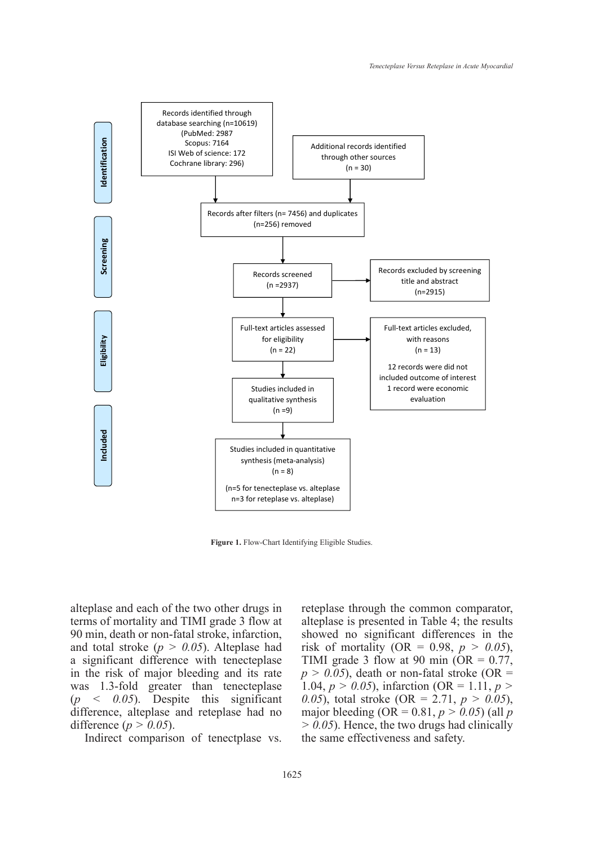

**Figure 1.** Flow-Chart Identifying Eligible Studies.

6 90 min, death or non-fatal stroke, infarction, alteplase and each of the two other drugs in terms of mortality and TIMI grade 3 flow at and total stroke (*p > 0.05*). Alteplase had a significant difference with tenecteplase in the risk of major bleeding and its rate was 1.3-fold greater than tenecteplase (*p < 0.05*). Despite this significant difference, alteplase and reteplase had no difference (*p > 0.05*).

Indirect comparison of tenectplase vs.

reteplase through the common comparator, alteplase is presented in Table 4; the results showed no significant differences in the risk of mortality (OR =  $0.98$ ,  $p > 0.05$ ), TIMI grade 3 flow at 90 min (OR =  $0.77$ ,  $p > 0.05$ ), death or non-fatal stroke (OR = 1.04, *p > 0.05*), infarction (OR = 1.11, *p > 0.05*), total stroke (OR = 2.71, *p > 0.05*), major bleeding (OR =  $0.81, p > 0.05$ ) (all *p > 0.05*). Hence, the two drugs had clinically the same effectiveness and safety.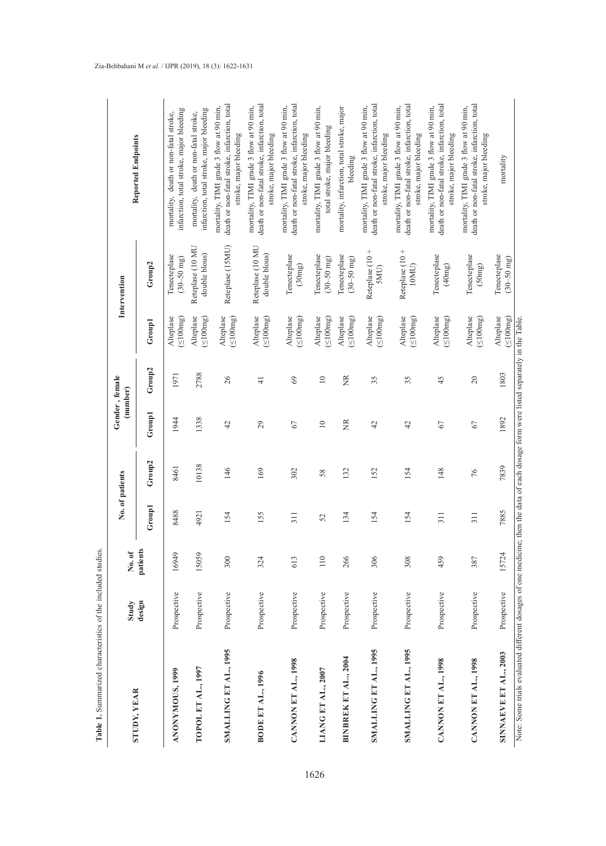| STUDY, YEAR                                                                                                                           | Study       | No.of    | No. of patients |                    |                 | Gender, female<br>(number) |                              | Intervention                           | <b>Reported Endpoints</b>                                                                                         |
|---------------------------------------------------------------------------------------------------------------------------------------|-------------|----------|-----------------|--------------------|-----------------|----------------------------|------------------------------|----------------------------------------|-------------------------------------------------------------------------------------------------------------------|
|                                                                                                                                       | design      | patients | Group1          | Group <sub>2</sub> | Group1          | Group2                     | Group1                       | Group2                                 |                                                                                                                   |
| <b>ANONYMOUS, 1999</b>                                                                                                                | Prospective | 16949    | 8488            | 8461               | 1944            | 1971                       | (200mg)<br>Alteplase         | Tenecteplase<br>$(30 - 50$ mg)         | infarction, total stroke, major bleeding<br>mortality, death or non-fatal stroke,                                 |
| TOPOL ET AL., 1997                                                                                                                    | Prospective | 15059    | 4921            | 10138              | 1338            | 2788                       | (100mg)<br>Alteplase         | Reteplase (10 MU<br>double blous)      | infarction, total stroke, major bleeding<br>mortality, death or non-fatal stroke,                                 |
| SMALLING ET AL., 1995                                                                                                                 | Prospective | 300      | 154             | 146                | 42              | 26                         | $(\leq 100mg)$<br>Alteplase  | Reteplase (15MU)                       | death or non-fatal stroke, infarction, total<br>mortality, TIMI grade 3 flow at 90 min,<br>stroke, major bleeding |
| <b>BODE ET AL., 1996</b>                                                                                                              | Prospective | 324      | 155             | 169                | 29              | $\frac{1}{4}$              | Alteplase<br>$(\leq 100mg)$  | Reteplase (10 MU<br>double blous)      | death or non-fatal stroke, infarction, total<br>mortality, TIMI grade 3 flow at 90 min,<br>stroke, major bleeding |
| CANNON ET AL., 1998                                                                                                                   | Prospective | 613      | 311             | 302                | 67              | 69                         | Alteplase<br>$(\leq 100mg)$  | Tenecteplase<br>(30mg)                 | death or non-fatal stroke, infarction, total<br>mortality, TIMI grade 3 flow at 90 min,<br>stroke, major bleeding |
| LIANG ET AL., 2007                                                                                                                    | Prospective | 110      | 52              | 58                 | $\overline{10}$ | $\overline{10}$            | Alteplase<br>(100mg)         | Tenecteplase<br>$(30 - 50 \text{ mg})$ | mortality, TIMI grade 3 flow at 90 min,<br>total stroke, major bleeding                                           |
| <b>BINBREK ET AL., 2004</b>                                                                                                           | Prospective | 266      | 134             | 132                | E               | Ĕ                          | Alteplase<br>$\leq 100$ mg)  | Tenecteplase<br>$(30 - 50 \text{ mg})$ | mortality, infarction, total stroke, major<br>bleeding                                                            |
| SMALLING ET AL., 1995                                                                                                                 | Prospective | 306      | 154             | 152                | 42              | 35                         | Alteplase<br>(100mg)         | Reteplase (10+<br>SMU)                 | death or non-fatal stroke, infarction, total<br>mortality, TIMI grade 3 flow at 90 min,<br>stroke, major bleeding |
| SMALLING ET AL., 1995                                                                                                                 | Prospective | 308      | 154             | 154                | 42              | 35                         | Alteplase<br>(100mg)         | Reteplase (10 +<br>10MU                | death or non-fatal stroke, infarction, total<br>mortality, TIMI grade 3 flow at 90 min,<br>stroke, major bleeding |
| CANNON ET AL., 1998                                                                                                                   | Prospective | 459      | 311             | 148                | 67              | 45                         | Alteplase<br>(100mg)         | Tenecteplase<br>(40mg)                 | death or non-fatal stroke, infarction, total<br>mortality, TIMI grade 3 flow at 90 min,<br>stroke, major bleeding |
| CANNON ET AL., 1998                                                                                                                   | Prospective | 387      | 311             | 76                 | 67              | 20                         | Alteplase<br>$(\leq 100$ mg) | Tenecteplase<br>(50mg)                 | death or non-fatal stroke, infarction, total<br>mortality, TIMI grade 3 flow at 90 min,<br>stroke, major bleeding |
| SINNAEVE ET AL., 2003                                                                                                                 | Prospective | 15724    | 7885            | 7839               | 1892            | 1803                       | Alteplase<br>$(\leq 100$ mg) | Tenecteplase<br>$(30 - 50 \text{ mg})$ | mortality                                                                                                         |
| Note: Some trials evaluated different dosages of one medicine; then the data of each dosage form were listed separately in the Table. |             |          |                 |                    |                 |                            |                              |                                        |                                                                                                                   |

**Table 1.** Summarized characteristics of the included studies.

Table 1. Summarized characteristics of the included studies.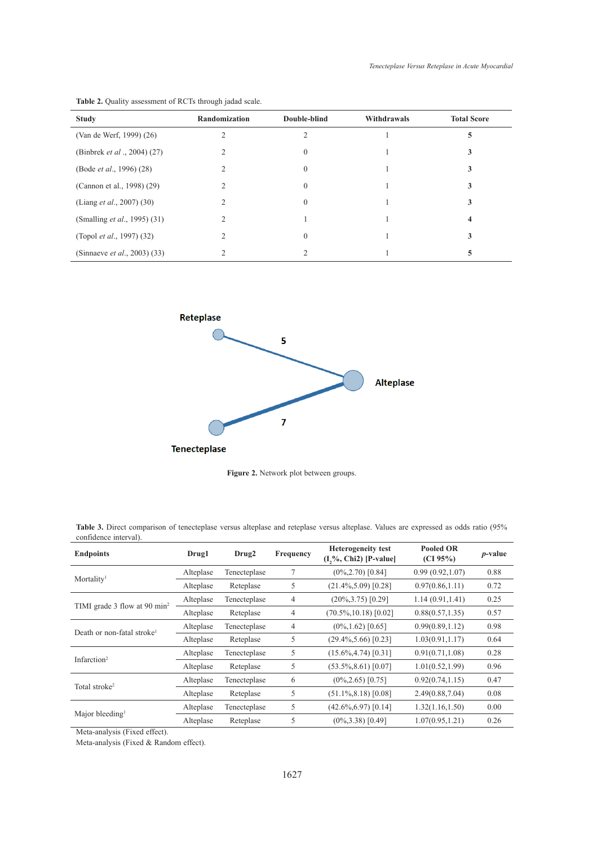| <b>Study</b>                         | <b>Randomization</b> | Double-blind | Withdrawals | <b>Total Score</b> |
|--------------------------------------|----------------------|--------------|-------------|--------------------|
| (Van de Werf, 1999) (26)             |                      |              |             | 5                  |
| (Binbrek et al., 2004) (27)          |                      | 0            |             | 3                  |
| (Bode <i>et al.</i> , 1996) (28)     |                      |              |             | 3                  |
| (Cannon et al., 1998) (29)           |                      |              |             |                    |
| (Liang <i>et al.</i> , 2007) (30)    |                      | $\Omega$     |             | 3                  |
| (Smalling <i>et al.</i> , 1995) (31) |                      |              |             | 4                  |
| (Topol <i>et al.</i> , 1997) (32)    |                      | $\Omega$     |             | 3                  |
| (Sinnaeve <i>et al.</i> , 2003) (33) |                      |              |             |                    |





**Figure 2.** Network plot between groups **Figure 2.** Network plot between groups.

| <b>Table 3.</b> Direct comparison of tenecteplase versus alteplase and reteplase versus alteplase. Values are expressed as odds ratio (95%) |  |  |  |  |
|---------------------------------------------------------------------------------------------------------------------------------------------|--|--|--|--|
| confidence interval).                                                                                                                       |  |  |  |  |

| <b>Endpoints</b>                         | Drug1     | Drug <sub>2</sub> | Frequency      | <b>Heterogeneity test</b><br>$(I, \%$ , Chi <sub>2</sub> ) [P-value] | <b>Pooled OR</b><br>(CI 95%) | $p$ -value |
|------------------------------------------|-----------|-------------------|----------------|----------------------------------------------------------------------|------------------------------|------------|
| Mortality <sup>1</sup>                   | Alteplase | Tenecteplase      | 7              | $(0\%, 2.70)$ [0.84]                                                 | 0.99(0.92, 1.07)             | 0.88       |
|                                          | Alteplase | Reteplase         | 5              | $(21.4\%, 5.09)$ [0.28]                                              | 0.97(0.86, 1.11)             | 0.72       |
|                                          | Alteplase | Tenecteplase      | $\overline{4}$ | $(20\%, 3.75)$ [0.29]                                                | 1.14(0.91, 1.41)             | 0.25       |
| TIMI grade 3 flow at 90 min <sup>2</sup> | Alteplase | Reteplase         | 4              | $(70.5\%, 10.18)$ [0.02]                                             | 0.88(0.57, 1.35)             | 0.57       |
| Death or non-fatal stroke <sup>1</sup>   | Alteplase | Tenecteplase      | 4              | $(0\%, 1.62)$ [0.65]                                                 | 0.99(0.89, 1.12)             | 0.98       |
|                                          | Alteplase | Reteplase         | 5              | $(29.4\%, 5.66)$ [0.23]                                              | 1.03(0.91, 1.17)             | 0.64       |
| Infarction <sup>2</sup>                  | Alteplase | Tenecteplase      | 5              | $(15.6\%, 4.74)$ [0.31]                                              | 0.91(0.71, 1.08)             | 0.28       |
|                                          | Alteplase | Reteplase         | 5              | $(53.5\%, 8.61)$ [0.07]                                              | 1.01(0.52, 1.99)             | 0.96       |
|                                          | Alteplase | Tenecteplase      | 6              | $(0\%, 2.65)$ [0.75]                                                 | 0.92(0.74, 1.15)             | 0.47       |
| Total stroke <sup>2</sup>                | Alteplase | Reteplase         | 5              | $(51.1\%, 8.18)$ [0.08]                                              | 2.49(0.88, 7.04)             | 0.08       |
|                                          | Alteplase | Tenecteplase      | 5              | $(42.6\%, 6.97)$ [0.14]                                              | 1.32(1.16, 1.50)             | 0.00       |
| Major bleeding <sup>1</sup>              | Alteplase | Reteplase         | 5              | $(0\%, 3.38)$ [0.49]                                                 | 1.07(0.95, 1.21)             | 0.26       |

Meta-analysis (Fixed effect).

Meta-analysis (Fixed & Random effect).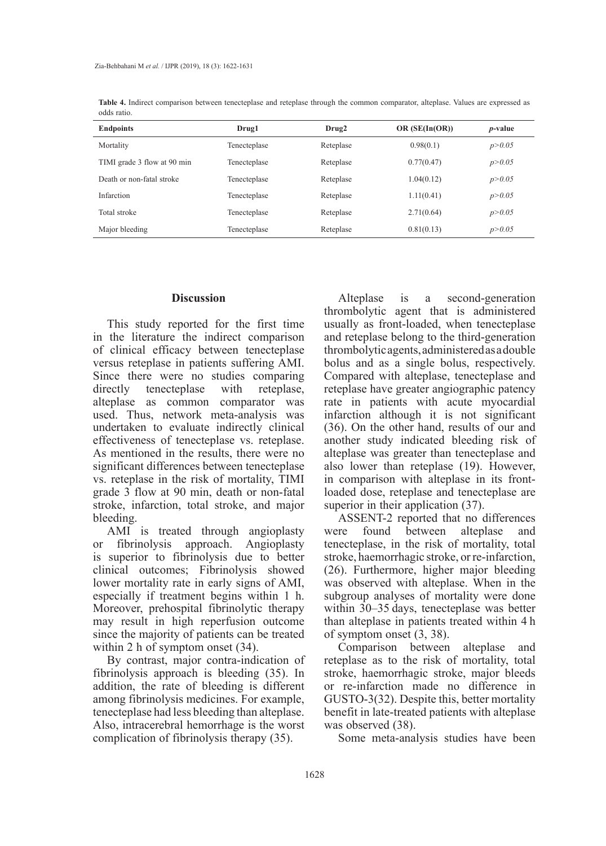| <b>Endpoints</b>            | Drug1        | Drug2     | OR $(SE(In(OR))$ | <i>p</i> -value |
|-----------------------------|--------------|-----------|------------------|-----------------|
| Mortality                   | Tenecteplase | Reteplase | 0.98(0.1)        | p > 0.05        |
| TIMI grade 3 flow at 90 min | Tenecteplase | Reteplase | 0.77(0.47)       | p > 0.05        |
| Death or non-fatal stroke   | Tenecteplase | Reteplase | 1.04(0.12)       | p > 0.05        |
| Infarction                  | Tenecteplase | Reteplase | 1.11(0.41)       | p > 0.05        |
| Total stroke                | Tenecteplase | Reteplase | 2.71(0.64)       | p > 0.05        |
| Major bleeding              | Tenecteplase | Reteplase | 0.81(0.13)       | p > 0.05        |

**Table 4.** Indirect comparison between tenecteplase and reteplase through the common comparator, alteplase. Values are expressed as odds ratio.

#### **Discussion**

This study reported for the first time in the literature the indirect comparison of clinical efficacy between tenecteplase versus reteplase in patients suffering AMI. Since there were no studies comparing directly tenecteplase with reteplase, alteplase as common comparator was used. Thus, network meta-analysis was undertaken to evaluate indirectly clinical effectiveness of tenecteplase vs. reteplase. As mentioned in the results, there were no significant differences between tenecteplase vs. reteplase in the risk of mortality, TIMI grade 3 flow at 90 min, death or non-fatal stroke, infarction, total stroke, and major bleeding.

AMI is treated through angioplasty or fibrinolysis approach. Angioplasty is superior to fibrinolysis due to better clinical outcomes; Fibrinolysis showed lower mortality rate in early signs of AMI, especially if treatment begins within 1 h. Moreover, prehospital fibrinolytic therapy may result in high reperfusion outcome since the majority of patients can be treated within 2 h of symptom onset (34).

By contrast, major contra-indication of fibrinolysis approach is bleeding (35). In addition, the rate of bleeding is different among fibrinolysis medicines. For example, tenecteplase had less bleeding than alteplase. Also, intracerebral hemorrhage is the worst complication of fibrinolysis therapy (35).

Alteplase is a second-generation thrombolytic agent that is administered usually as front-loaded, when tenecteplase and reteplase belong to the third-generation thrombolytic agents, administered as a double bolus and as a single bolus, respectively. Compared with alteplase, tenecteplase and reteplase have greater angiographic patency rate in patients with acute myocardial infarction although it is not significant (36). On the other hand, results of our and another study indicated bleeding risk of alteplase was greater than tenecteplase and also lower than reteplase (19). However, in comparison with alteplase in its frontloaded dose, reteplase and tenecteplase are superior in their application (37).

ASSENT-2 reported that no differences were found between alteplase and tenecteplase, in the risk of mortality, total stroke, haemorrhagic stroke, or re-infarction, (26). Furthermore, higher major bleeding was observed with alteplase. When in the subgroup analyses of mortality were done within 30–35 days, tenecteplase was better than alteplase in patients treated within 4 h of symptom onset (3, 38).

Comparison between alteplase and reteplase as to the risk of mortality, total stroke, haemorrhagic stroke, major bleeds or re-infarction made no difference in GUSTO-3(32). Despite this, better mortality benefit in late‐treated patients with alteplase was observed (38).

Some meta-analysis studies have been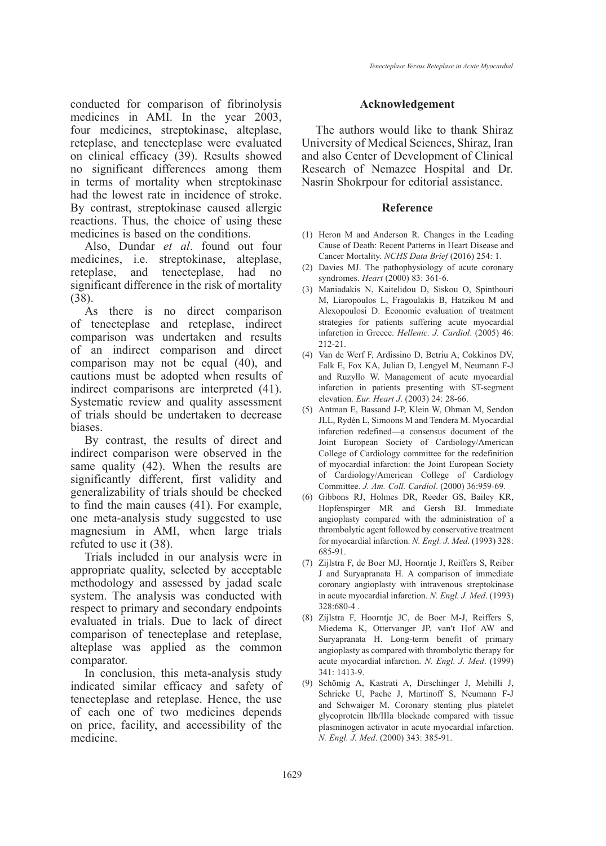conducted for comparison of fibrinolysis medicines in AMI. In the year 2003, four medicines, streptokinase, alteplase, reteplase, and tenecteplase were evaluated on clinical efficacy (39). Results showed no significant differences among them in terms of mortality when streptokinase had the lowest rate in incidence of stroke. By contrast, streptokinase caused allergic reactions. Thus, the choice of using these medicines is based on the conditions.

Also, Dundar *et al*. found out four medicines, i.e. streptokinase, alteplase, reteplase, and tenecteplase, had no significant difference in the risk of mortality (38).

As there is no direct comparison of tenecteplase and reteplase, indirect comparison was undertaken and results of an indirect comparison and direct comparison may not be equal (40), and cautions must be adopted when results of indirect comparisons are interpreted (41). Systematic review and quality assessment of trials should be undertaken to decrease biases.

By contrast, the results of direct and indirect comparison were observed in the same quality (42). When the results are significantly different, first validity and generalizability of trials should be checked to find the main causes (41). For example, one meta-analysis study suggested to use magnesium in AMI, when large trials refuted to use it (38).

Trials included in our analysis were in appropriate quality, selected by acceptable methodology and assessed by jadad scale system. The analysis was conducted with respect to primary and secondary endpoints evaluated in trials. Due to lack of direct comparison of tenecteplase and reteplase, alteplase was applied as the common comparator.

In conclusion, this meta-analysis study indicated similar efficacy and safety of tenecteplase and reteplase. Hence, the use of each one of two medicines depends on price, facility, and accessibility of the medicine.

## **Acknowledgement**

The authors would like to thank Shiraz University of Medical Sciences, Shiraz, Iran and also Center of Development of Clinical Research of Nemazee Hospital and Dr. Nasrin Shokrpour for editorial assistance.

#### **Reference**

- (1) Heron M and Anderson R. Changes in the Leading Cause of Death: Recent Patterns in Heart Disease and Cancer Mortality. *NCHS Data Brief* (2016) 254: 1.
- (2) Davies MJ. The pathophysiology of acute coronary syndromes. *Heart* (2000) 83: 361-6.
- Maniadakis N, Kaitelidou D, Siskou O, Spinthouri (3) M, Liaropoulos L, Fragoulakis B, Hatzikou M and Alexopoulosi D. Economic evaluation of treatment strategies for patients suffering acute myocardial infarction in Greece. *Hellenic. J. Cardiol*. (2005) 46: 212-21.
- (4) Van de Werf F, Ardissino D, Betriu A, Cokkinos DV, Falk E, Fox KA, Julian D, Lengyel M, Neumann F-J and Ruzyllo W. Management of acute myocardial infarction in patients presenting with ST-segment elevation. *Eur. Heart J*. (2003) 24: 28-66.
- (5) Antman E, Bassand J-P, Klein W, Ohman M, Sendon JLL, Rydén L, Simoons M and Tendera M. Myocardial infarction redefined—a consensus document of the Joint European Society of Cardiology/American College of Cardiology committee for the redefinition of myocardial infarction: the Joint European Society of Cardiology/American College of Cardiology Committee. *J. Am. Coll. Cardiol*. (2000) 36:959-69.
- Gibbons RJ, Holmes DR, Reeder GS, Bailey KR, (6) Hopfenspirger MR and Gersh BJ. Immediate angioplasty compared with the administration of a thrombolytic agent followed by conservative treatment for myocardial infarction. *N. Engl. J. Med*. (1993) 328: 685-91.
- (7) Zijlstra F, de Boer MJ, Hoorntje J, Reiffers S, Reiber J and Suryapranata H. A comparison of immediate coronary angioplasty with intravenous streptokinase in acute myocardial infarction. *N. Engl. J. Med*. (1993) 328:680-4 .
- Zijlstra F, Hoorntje JC, de Boer M-J, Reiffers S, (8) Miedema K, Ottervanger JP, van′t Hof AW and Suryapranata H. Long-term benefit of primary angioplasty as compared with thrombolytic therapy for acute myocardial infarction. *N. Engl. J. Med*. (1999) 341: 1413-9.
- (9) Schömig A, Kastrati A, Dirschinger J, Mehilli J, Schricke U, Pache J, Martinoff S, Neumann F-J and Schwaiger M. Coronary stenting plus platelet glycoprotein IIb/IIIa blockade compared with tissue plasminogen activator in acute myocardial infarction. *N. Engl. J. Med*. (2000) 343: 385-91.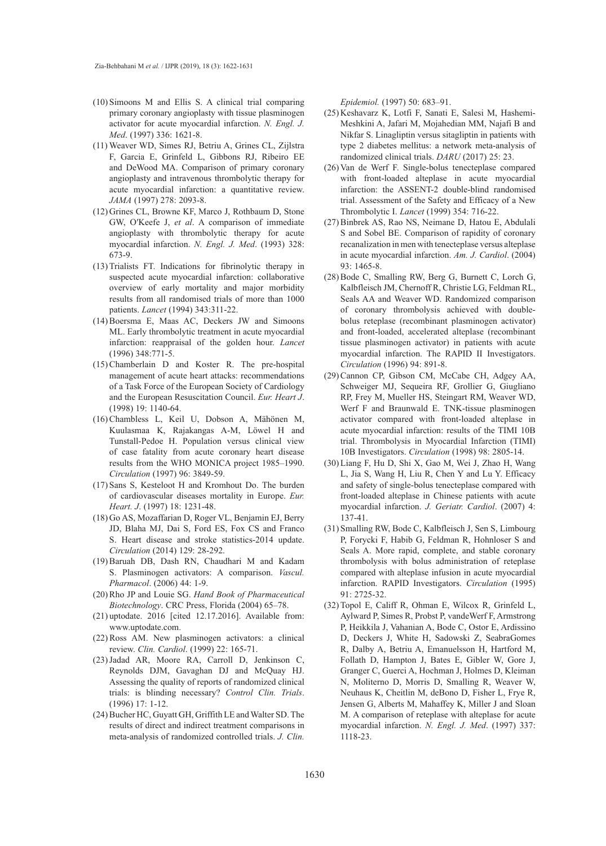- $(10)$  Simoons M and Ellis S. A clinical trial comparing primary coronary angioplasty with tissue plasminogen activator for acute myocardial infarction. *N. Engl. J. Med*. (1997) 336: 1621-8.
- Weaver WD, Simes RJ, Betriu A, Grines CL, Zijlstra (11) F, Garcia E, Grinfeld L, Gibbons RJ, Ribeiro EE and DeWood MA. Comparison of primary coronary angioplasty and intravenous thrombolytic therapy for acute myocardial infarction: a quantitative review. *JAMA* (1997) 278: 2093-8.
- (12) Grines CL, Browne KF, Marco J, Rothbaum D, Stone GW, O′Keefe J, *et al*. A comparison of immediate angioplasty with thrombolytic therapy for acute myocardial infarction. *N. Engl. J. Med*. (1993) 328: 673-9.
- (13) Trialists FT. Indications for fibrinolytic therapy in suspected acute myocardial infarction: collaborative overview of early mortality and major morbidity results from all randomised trials of more than 1000 patients. *Lancet* (1994) 343:311-22.
- (14) Boersma E, Maas AC, Deckers JW and Simoons ML. Early thrombolytic treatment in acute myocardial infarction: reappraisal of the golden hour. *Lancet* (1996) 348:771-5.
- $(15)$  Chamberlain D and Koster R. The pre-hospital management of acute heart attacks: recommendations of a Task Force of the European Society of Cardiology and the European Resuscitation Council. *Eur. Heart J*. (1998) 19: 1140-64.
- (16) Chambless L, Keil U, Dobson A, Mähönen M, Kuulasmaa K, Rajakangas A-M, Löwel H and Tunstall-Pedoe H. Population versus clinical view of case fatality from acute coronary heart disease results from the WHO MONICA project 1985–1990. *Circulation* (1997) 96: 3849-59.
- (17) Sans S, Kesteloot H and Kromhout Do. The burden of cardiovascular diseases mortality in Europe. *Eur. Heart. J*. (1997) 18: 1231-48.
- (18) Go AS, Mozaffarian D, Roger VL, Benjamin EJ, Berry JD, Blaha MJ, Dai S, Ford ES, Fox CS and Franco S. Heart disease and stroke statistics-2014 update. *Circulation* (2014) 129: 28-292.
- Baruah DB, Dash RN, Chaudhari M and Kadam (19) S. Plasminogen activators: A comparison. *Vascul. Pharmacol*. (2006) 44: 1-9.
- (20) Rho JP and Louie SG. Hand Book of Pharmaceutical *Biotechnology*. CRC Press, Florida (2004) 65–78.
- $(21)$  uptodate.  $2016$  [cited  $12.17.2016$ ]. Available from: www.uptodate.com.
- (22) Ross AM. New plasminogen activators: a clinical review. *Clin. Cardiol*. (1999) 22: 165-71.
- (23) Jadad AR, Moore RA, Carroll D, Jenkinson C, Reynolds DJM, Gavaghan DJ and McQuay HJ. Assessing the quality of reports of randomized clinical trials: is blinding necessary? *Control Clin. Trials*. (1996) 17: 1-12.
- (24) Bucher HC, Guyatt GH, Griffith LE and Walter SD. The results of direct and indirect treatment comparisons in meta-analysis of randomized controlled trials. *J. Clin.*

*Epidemiol.* (1997) 50: 683–91.

- (25) Keshavarz K, Lotfi F, Sanati E, Salesi M, Hashemi-Meshkini A, Jafari M, Mojahedian MM, Najafi B and Nikfar S. Linagliptin versus sitagliptin in patients with type 2 diabetes mellitus: a network meta-analysis of randomized clinical trials. *DARU* (2017) 25: 23.
- $(26)$  Van de Werf F. Single-bolus tenecteplase compared with front-loaded alteplase in acute myocardial infarction: the ASSENT-2 double-blind randomised trial. Assessment of the Safety and Efficacy of a New Thrombolytic I. *Lancet* (1999) 354: 716-22.
- (27) Binbrek AS, Rao NS, Neimane D, Hatou E, Abdulali S and Sobel BE. Comparison of rapidity of coronary recanalization in men with tenecteplase versus alteplase in acute myocardial infarction. *Am. J. Cardiol*. (2004) 93: 1465-8.
- (28) Bode C, Smalling RW, Berg G, Burnett C, Lorch G, Kalbfleisch JM, Chernoff R, Christie LG, Feldman RL, Seals AA and Weaver WD. Randomized comparison of coronary thrombolysis achieved with doublebolus reteplase (recombinant plasminogen activator) and front-loaded, accelerated alteplase (recombinant tissue plasminogen activator) in patients with acute myocardial infarction. The RAPID II Investigators. *Circulation* (1996) 94: 891-8.
- (29) Cannon CP, Gibson CM, McCabe CH, Adgey AA, Schweiger MJ, Sequeira RF, Grollier G, Giugliano RP, Frey M, Mueller HS, Steingart RM, Weaver WD, Werf F and Braunwald E. TNK-tissue plasminogen activator compared with front-loaded alteplase in acute myocardial infarction: results of the TIMI 10B trial. Thrombolysis in Myocardial Infarction (TIMI) 10B Investigators. *Circulation* (1998) 98: 2805-14.
- (30) Liang F, Hu D, Shi X, Gao M, Wei J, Zhao H, Wang L, Jia S, Wang H, Liu R, Chen Y and Lu Y. Efficacy and safety of single-bolus tenecteplase compared with front-loaded alteplase in Chinese patients with acute myocardial infarction. *J. Geriatr. Cardiol*. (2007) 4: 137-41.
- (31) Smalling RW, Bode C, Kalbfleisch J, Sen S, Limbourg P, Forycki F, Habib G, Feldman R, Hohnloser S and Seals A. More rapid, complete, and stable coronary thrombolysis with bolus administration of reteplase compared with alteplase infusion in acute myocardial infarction. RAPID Investigators. *Circulation* (1995) 91: 2725-32.
- (32) Topol E, Califf R, Ohman E, Wilcox R, Grinfeld L, Aylward P, Simes R, Probst P, vandeWerf F, Armstrong P, Heikkila J, Vahanian A, Bode C, Ostor E, Ardissino D, Deckers J, White H, Sadowski Z, SeabraGomes R, Dalby A, Betriu A, Emanuelsson H, Hartford M, Follath D, Hampton J, Bates E, Gibler W, Gore J, Granger C, Guerci A, Hochman J, Holmes D, Kleiman N, Moliterno D, Morris D, Smalling R, Weaver W, Neuhaus K, Cheitlin M, deBono D, Fisher L, Frye R, Jensen G, Alberts M, Mahaffey K, Miller J and Sloan M. A comparison of reteplase with alteplase for acute myocardial infarction. *N. Engl. J. Med*. (1997) 337: 1118-23.